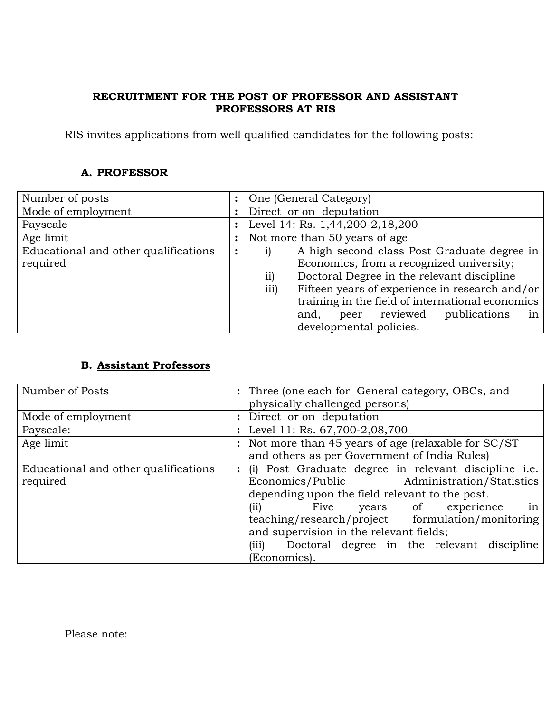## **RECRUITMENT FOR THE POST OF PROFESSOR AND ASSISTANT PROFESSORS AT RIS**

RIS invites applications from well qualified candidates for the following posts:

## **A. PROFESSOR**

| Number of posts                      |           | One (General Category)                                 |
|--------------------------------------|-----------|--------------------------------------------------------|
| Mode of employment                   |           | Direct or on deputation                                |
| Payscale                             |           | Level 14: Rs. 1,44,200-2,18,200                        |
| Age limit                            |           | Not more than 50 years of age                          |
| Educational and other qualifications | $\bullet$ | A high second class Post Graduate degree in            |
| required                             |           | Economics, from a recognized university;               |
|                                      |           | Doctoral Degree in the relevant discipline<br>11)      |
|                                      |           | Fifteen years of experience in research and/or<br>iii) |
|                                      |           | training in the field of international economics       |
|                                      |           | peer reviewed<br>publications<br>and,<br>1n            |
|                                      |           | developmental policies.                                |

## **B. Assistant Professors**

| Number of Posts                      | $\ddot{\cdot}$ | Three (one each for General category, OBCs, and      |
|--------------------------------------|----------------|------------------------------------------------------|
|                                      |                | physically challenged persons)                       |
| Mode of employment                   | $\ddot{\cdot}$ | Direct or on deputation                              |
| Payscale:                            | $\ddot{\cdot}$ | Level 11: Rs. 67,700-2,08,700                        |
| Age limit                            |                | Not more than 45 years of age (relaxable for SC/ST   |
|                                      |                | and others as per Government of India Rules)         |
| Educational and other qualifications |                | (i) Post Graduate degree in relevant discipline i.e. |
| required                             |                | Economics/Public Administration/Statistics           |
|                                      |                | depending upon the field relevant to the post.       |
|                                      |                | Five<br>years of experience<br>(ii)<br>in            |
|                                      |                | teaching/research/project formulation/monitoring     |
|                                      |                | and supervision in the relevant fields;              |
|                                      |                | (iii)<br>Doctoral degree in the relevant discipline  |
|                                      |                | (Economics).                                         |